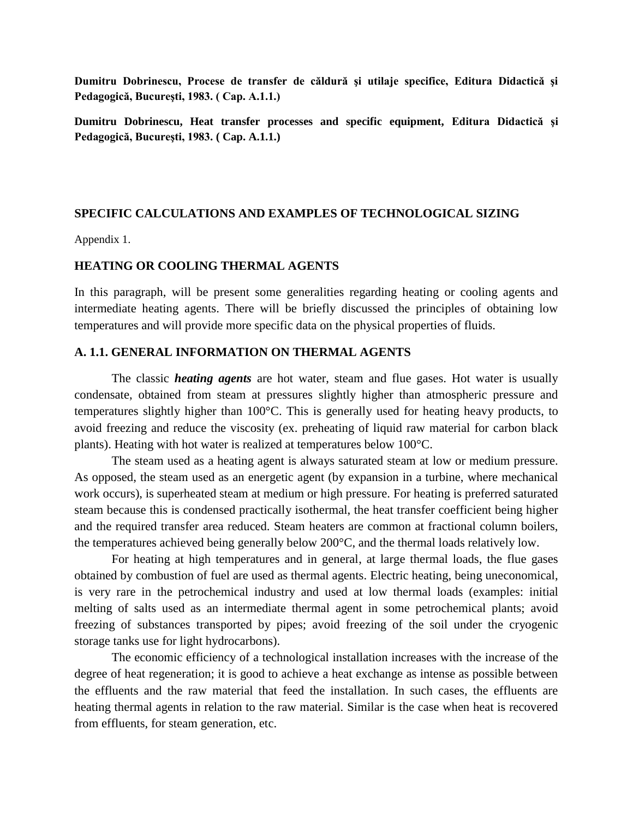**Dumitru Dobrinescu, Procese de transfer de căldură şi utilaje specifice, Editura Didactică şi Pedagogică, Bucureşti, 1983. ( Cap. A.1.1.)**

**Dumitru Dobrinescu, Heat transfer processes and specific equipment, Editura Didactică şi Pedagogică, Bucureşti, 1983. ( Cap. A.1.1.)**

### **SPECIFIC CALCULATIONS AND EXAMPLES OF TECHNOLOGICAL SIZING**

Appendix 1.

### **HEATING OR COOLING THERMAL AGENTS**

In this paragraph, will be present some generalities regarding heating or cooling agents and intermediate heating agents. There will be briefly discussed the principles of obtaining low temperatures and will provide more specific data on the physical properties of fluids.

### **A. 1.1. GENERAL INFORMATION ON THERMAL AGENTS**

The classic *heating agents* are hot water, steam and flue gases. Hot water is usually condensate, obtained from steam at pressures slightly higher than atmospheric pressure and temperatures slightly higher than 100°C. This is generally used for heating heavy products, to avoid freezing and reduce the viscosity (ex. preheating of liquid raw material for carbon black plants). Heating with hot water is realized at temperatures below 100°C.

The steam used as a heating agent is always saturated steam at low or medium pressure. As opposed, the steam used as an energetic agent (by expansion in a turbine, where mechanical work occurs), is superheated steam at medium or high pressure. For heating is preferred saturated steam because this is condensed practically isothermal, the heat transfer coefficient being higher and the required transfer area reduced. Steam heaters are common at fractional column boilers, the temperatures achieved being generally below 200°C, and the thermal loads relatively low.

For heating at high temperatures and in general, at large thermal loads, the flue gases obtained by combustion of fuel are used as thermal agents. Electric heating, being uneconomical, is very rare in the petrochemical industry and used at low thermal loads (examples: initial melting of salts used as an intermediate thermal agent in some petrochemical plants; avoid freezing of substances transported by pipes; avoid freezing of the soil under the cryogenic storage tanks use for light hydrocarbons).

The economic efficiency of a technological installation increases with the increase of the degree of heat regeneration; it is good to achieve a heat exchange as intense as possible between the effluents and the raw material that feed the installation. In such cases, the effluents are heating thermal agents in relation to the raw material. Similar is the case when heat is recovered from effluents, for steam generation, etc.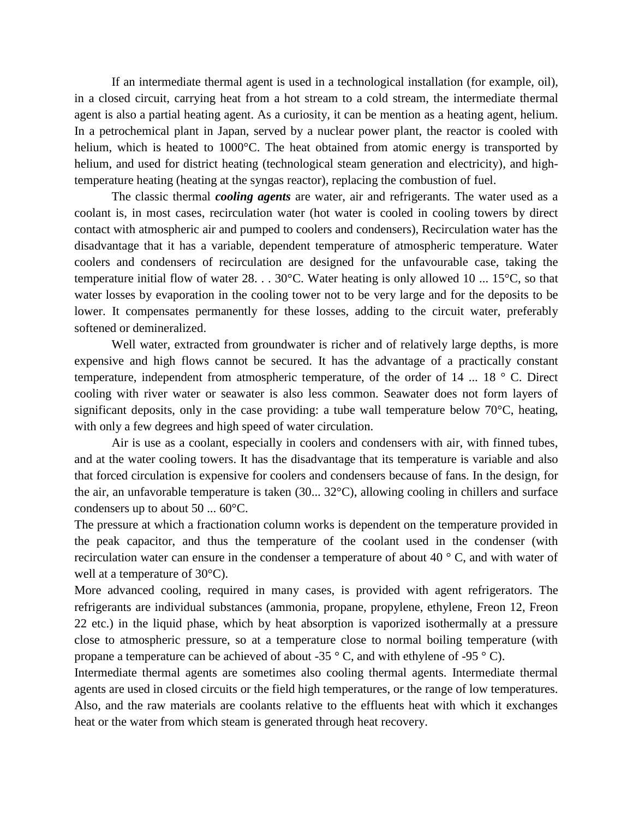If an intermediate thermal agent is used in a technological installation (for example, oil), in a closed circuit, carrying heat from a hot stream to a cold stream, the intermediate thermal agent is also a partial heating agent. As a curiosity, it can be mention as a heating agent, helium. In a petrochemical plant in Japan, served by a nuclear power plant, the reactor is cooled with helium, which is heated to 1000°C. The heat obtained from atomic energy is transported by helium, and used for district heating (technological steam generation and electricity), and hightemperature heating (heating at the syngas reactor), replacing the combustion of fuel.

The classic thermal *cooling agents* are water, air and refrigerants. The water used as a coolant is, in most cases, recirculation water (hot water is cooled in cooling towers by direct contact with atmospheric air and pumped to coolers and condensers), Recirculation water has the disadvantage that it has a variable, dependent temperature of atmospheric temperature. Water coolers and condensers of recirculation are designed for the unfavourable case, taking the temperature initial flow of water 28. . . 30°C. Water heating is only allowed 10 ... 15°C, so that water losses by evaporation in the cooling tower not to be very large and for the deposits to be lower. It compensates permanently for these losses, adding to the circuit water, preferably softened or demineralized.

Well water, extracted from groundwater is richer and of relatively large depths, is more expensive and high flows cannot be secured. It has the advantage of a practically constant temperature, independent from atmospheric temperature, of the order of 14 ... 18 ° C. Direct cooling with river water or seawater is also less common. Seawater does not form layers of significant deposits, only in the case providing: a tube wall temperature below 70°C, heating, with only a few degrees and high speed of water circulation.

Air is use as a coolant, especially in coolers and condensers with air, with finned tubes, and at the water cooling towers. It has the disadvantage that its temperature is variable and also that forced circulation is expensive for coolers and condensers because of fans. In the design, for the air, an unfavorable temperature is taken (30... 32°C), allowing cooling in chillers and surface condensers up to about 50 ... 60°C.

The pressure at which a fractionation column works is dependent on the temperature provided in the peak capacitor, and thus the temperature of the coolant used in the condenser (with recirculation water can ensure in the condenser a temperature of about 40 ° C, and with water of well at a temperature of 30°C).

More advanced cooling, required in many cases, is provided with agent refrigerators. The refrigerants are individual substances (ammonia, propane, propylene, ethylene, Freon 12, Freon 22 etc.) in the liquid phase, which by heat absorption is vaporized isothermally at a pressure close to atmospheric pressure, so at a temperature close to normal boiling temperature (with propane a temperature can be achieved of about -35  $\degree$  C, and with ethylene of -95  $\degree$  C).

Intermediate thermal agents are sometimes also cooling thermal agents. Intermediate thermal agents are used in closed circuits or the field high temperatures, or the range of low temperatures. Also, and the raw materials are coolants relative to the effluents heat with which it exchanges heat or the water from which steam is generated through heat recovery.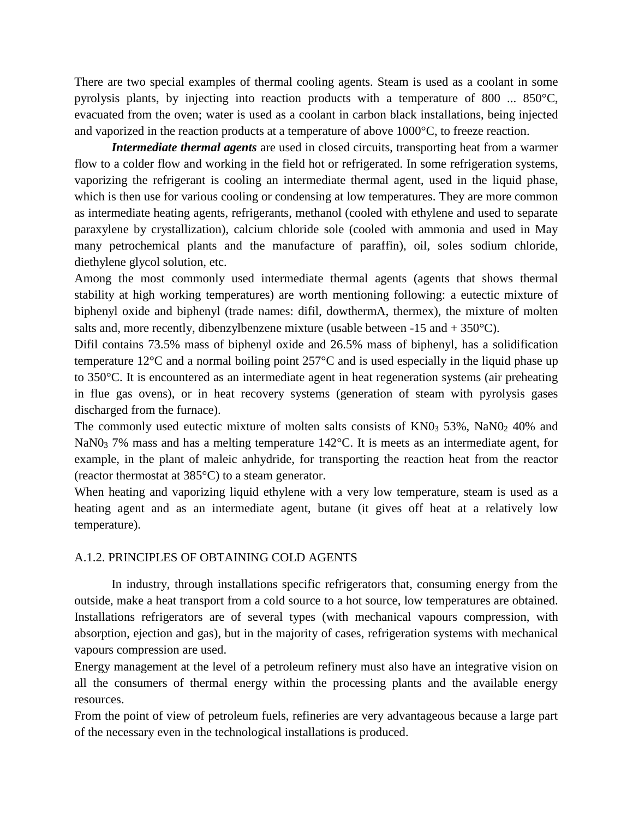There are two special examples of thermal cooling agents. Steam is used as a coolant in some pyrolysis plants, by injecting into reaction products with a temperature of 800 ... 850°C, evacuated from the oven; water is used as a coolant in carbon black installations, being injected and vaporized in the reaction products at a temperature of above 1000°C, to freeze reaction.

*Intermediate thermal agents* are used in closed circuits, transporting heat from a warmer flow to a colder flow and working in the field hot or refrigerated. In some refrigeration systems, vaporizing the refrigerant is cooling an intermediate thermal agent, used in the liquid phase, which is then use for various cooling or condensing at low temperatures. They are more common as intermediate heating agents, refrigerants, methanol (cooled with ethylene and used to separate paraxylene by crystallization), calcium chloride sole (cooled with ammonia and used in May many petrochemical plants and the manufacture of paraffin), oil, soles sodium chloride, diethylene glycol solution, etc.

Among the most commonly used intermediate thermal agents (agents that shows thermal stability at high working temperatures) are worth mentioning following: a eutectic mixture of biphenyl oxide and biphenyl (trade names: difil, dowthermA, thermex), the mixture of molten salts and, more recently, dibenzylbenzene mixture (usable between  $-15$  and  $+ 350^{\circ}$ C).

Difil contains 73.5% mass of biphenyl oxide and 26.5% mass of biphenyl, has a solidification temperature 12°C and a normal boiling point 257°C and is used especially in the liquid phase up to 350°C. It is encountered as an intermediate agent in heat regeneration systems (air preheating in flue gas ovens), or in heat recovery systems (generation of steam with pyrolysis gases discharged from the furnace).

The commonly used eutectic mixture of molten salts consists of  $KN0<sub>3</sub> 53%$ , NaN $0<sub>2</sub> 40%$  and NaN0<sub>3</sub> 7% mass and has a melting temperature 142°C. It is meets as an intermediate agent, for example, in the plant of maleic anhydride, for transporting the reaction heat from the reactor (reactor thermostat at 385°C) to a steam generator.

When heating and vaporizing liquid ethylene with a very low temperature, steam is used as a heating agent and as an intermediate agent, butane (it gives off heat at a relatively low temperature).

## A.1.2. PRINCIPLES OF OBTAINING COLD AGENTS

In industry, through installations specific refrigerators that, consuming energy from the outside, make a heat transport from a cold source to a hot source, low temperatures are obtained. Installations refrigerators are of several types (with mechanical vapours compression, with absorption, ejection and gas), but in the majority of cases, refrigeration systems with mechanical vapours compression are used.

Energy management at the level of a petroleum refinery must also have an integrative vision on all the consumers of thermal energy within the processing plants and the available energy resources.

From the point of view of petroleum fuels, refineries are very advantageous because a large part of the necessary even in the technological installations is produced.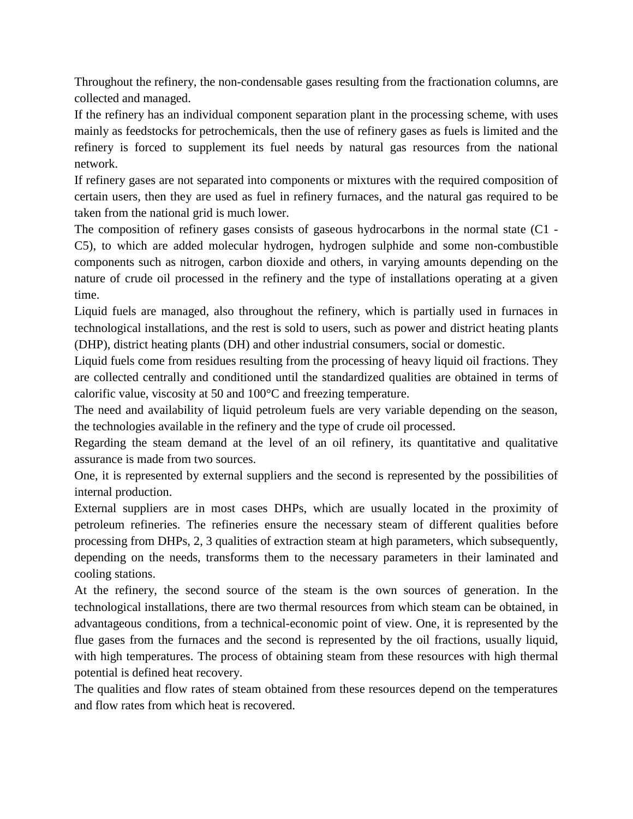Throughout the refinery, the non-condensable gases resulting from the fractionation columns, are collected and managed.

If the refinery has an individual component separation plant in the processing scheme, with uses mainly as feedstocks for petrochemicals, then the use of refinery gases as fuels is limited and the refinery is forced to supplement its fuel needs by natural gas resources from the national network.

If refinery gases are not separated into components or mixtures with the required composition of certain users, then they are used as fuel in refinery furnaces, and the natural gas required to be taken from the national grid is much lower.

The composition of refinery gases consists of gaseous hydrocarbons in the normal state (C1 - C5), to which are added molecular hydrogen, hydrogen sulphide and some non-combustible components such as nitrogen, carbon dioxide and others, in varying amounts depending on the nature of crude oil processed in the refinery and the type of installations operating at a given time.

Liquid fuels are managed, also throughout the refinery, which is partially used in furnaces in technological installations, and the rest is sold to users, such as power and district heating plants (DHP), district heating plants (DH) and other industrial consumers, social or domestic.

Liquid fuels come from residues resulting from the processing of heavy liquid oil fractions. They are collected centrally and conditioned until the standardized qualities are obtained in terms of calorific value, viscosity at 50 and 100°C and freezing temperature.

The need and availability of liquid petroleum fuels are very variable depending on the season, the technologies available in the refinery and the type of crude oil processed.

Regarding the steam demand at the level of an oil refinery, its quantitative and qualitative assurance is made from two sources.

One, it is represented by external suppliers and the second is represented by the possibilities of internal production.

External suppliers are in most cases DHPs, which are usually located in the proximity of petroleum refineries. The refineries ensure the necessary steam of different qualities before processing from DHPs, 2, 3 qualities of extraction steam at high parameters, which subsequently, depending on the needs, transforms them to the necessary parameters in their laminated and cooling stations.

At the refinery, the second source of the steam is the own sources of generation. In the technological installations, there are two thermal resources from which steam can be obtained, in advantageous conditions, from a technical-economic point of view. One, it is represented by the flue gases from the furnaces and the second is represented by the oil fractions, usually liquid, with high temperatures. The process of obtaining steam from these resources with high thermal potential is defined heat recovery.

The qualities and flow rates of steam obtained from these resources depend on the temperatures and flow rates from which heat is recovered.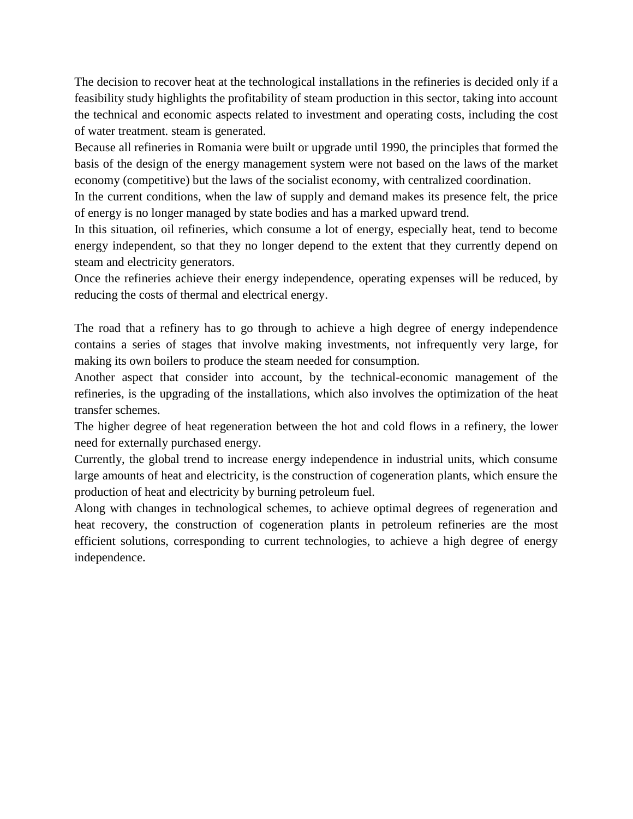The decision to recover heat at the technological installations in the refineries is decided only if a feasibility study highlights the profitability of steam production in this sector, taking into account the technical and economic aspects related to investment and operating costs, including the cost of water treatment. steam is generated.

Because all refineries in Romania were built or upgrade until 1990, the principles that formed the basis of the design of the energy management system were not based on the laws of the market economy (competitive) but the laws of the socialist economy, with centralized coordination.

In the current conditions, when the law of supply and demand makes its presence felt, the price of energy is no longer managed by state bodies and has a marked upward trend.

In this situation, oil refineries, which consume a lot of energy, especially heat, tend to become energy independent, so that they no longer depend to the extent that they currently depend on steam and electricity generators.

Once the refineries achieve their energy independence, operating expenses will be reduced, by reducing the costs of thermal and electrical energy.

The road that a refinery has to go through to achieve a high degree of energy independence contains a series of stages that involve making investments, not infrequently very large, for making its own boilers to produce the steam needed for consumption.

Another aspect that consider into account, by the technical-economic management of the refineries, is the upgrading of the installations, which also involves the optimization of the heat transfer schemes.

The higher degree of heat regeneration between the hot and cold flows in a refinery, the lower need for externally purchased energy.

Currently, the global trend to increase energy independence in industrial units, which consume large amounts of heat and electricity, is the construction of cogeneration plants, which ensure the production of heat and electricity by burning petroleum fuel.

Along with changes in technological schemes, to achieve optimal degrees of regeneration and heat recovery, the construction of cogeneration plants in petroleum refineries are the most efficient solutions, corresponding to current technologies, to achieve a high degree of energy independence.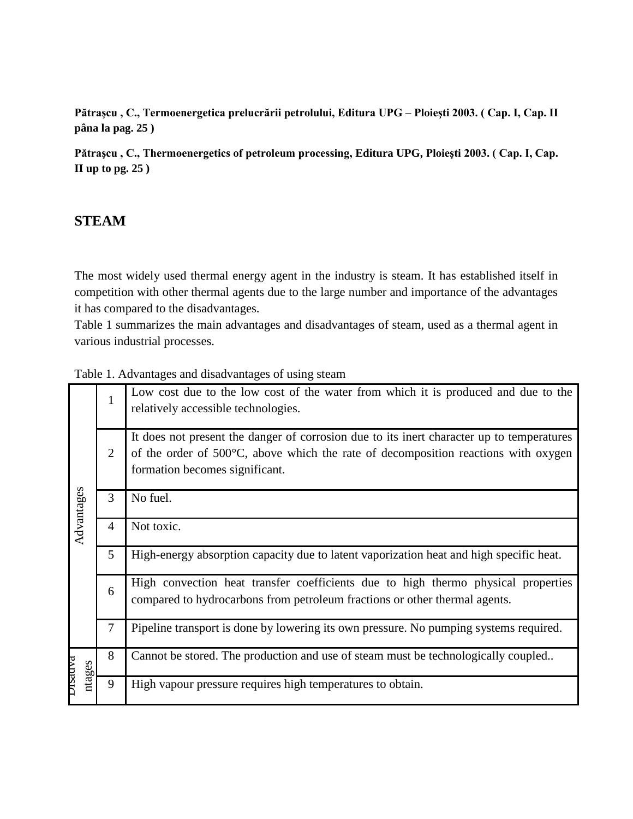**Pătraşcu , C., Termoenergetica prelucrării petrolului, Editura UPG – Ploieşti 2003. ( Cap. I, Cap. II pâna la pag. 25 )**

**Pătraşcu , C., Thermoenergetics of petroleum processing, Editura UPG, Ploieşti 2003. ( Cap. I, Cap. II up to pg. 25 )**

# **STEAM**

The most widely used thermal energy agent in the industry is steam. It has established itself in competition with other thermal agents due to the large number and importance of the advantages it has compared to the disadvantages.

Table 1 summarizes the main advantages and disadvantages of steam, used as a thermal agent in various industrial processes.

Table 1. Advantages and disadvantages of using steam

| Advantages               | 1              | Low cost due to the low cost of the water from which it is produced and due to the<br>relatively accessible technologies.                                                                                         |  |  |  |  |
|--------------------------|----------------|-------------------------------------------------------------------------------------------------------------------------------------------------------------------------------------------------------------------|--|--|--|--|
|                          | $\overline{2}$ | It does not present the danger of corrosion due to its inert character up to temperatures<br>of the order of 500°C, above which the rate of decomposition reactions with oxygen<br>formation becomes significant. |  |  |  |  |
|                          | 3              | No fuel.                                                                                                                                                                                                          |  |  |  |  |
|                          | $\overline{4}$ | Not toxic.                                                                                                                                                                                                        |  |  |  |  |
|                          | 5              | High-energy absorption capacity due to latent vaporization heat and high specific heat.                                                                                                                           |  |  |  |  |
|                          | 6              | High convection heat transfer coefficients due to high thermo physical properties<br>compared to hydrocarbons from petroleum fractions or other thermal agents.                                                   |  |  |  |  |
|                          | $\tau$         | Pipeline transport is done by lowering its own pressure. No pumping systems required.                                                                                                                             |  |  |  |  |
| <b>EADRSIL</b><br>ntages | 8              | Cannot be stored. The production and use of steam must be technologically coupled                                                                                                                                 |  |  |  |  |
|                          | 9              | High vapour pressure requires high temperatures to obtain.                                                                                                                                                        |  |  |  |  |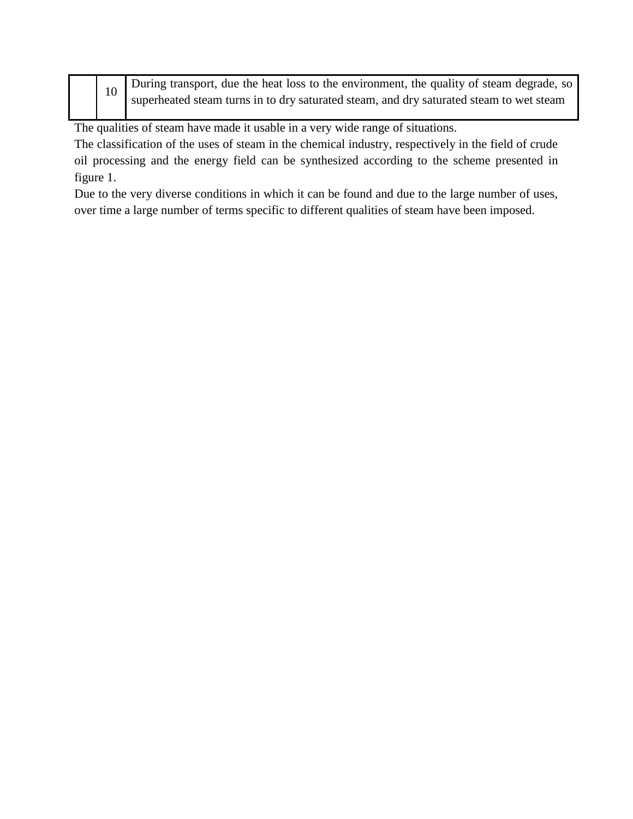|  |  | During transport, due the heat loss to the environment, the quality of steam degrade, so |
|--|--|------------------------------------------------------------------------------------------|
|  |  | superheated steam turns in to dry saturated steam, and dry saturated steam to wet steam  |

The qualities of steam have made it usable in a very wide range of situations.

The classification of the uses of steam in the chemical industry, respectively in the field of crude oil processing and the energy field can be synthesized according to the scheme presented in figure 1.

Due to the very diverse conditions in which it can be found and due to the large number of uses, over time a large number of terms specific to different qualities of steam have been imposed.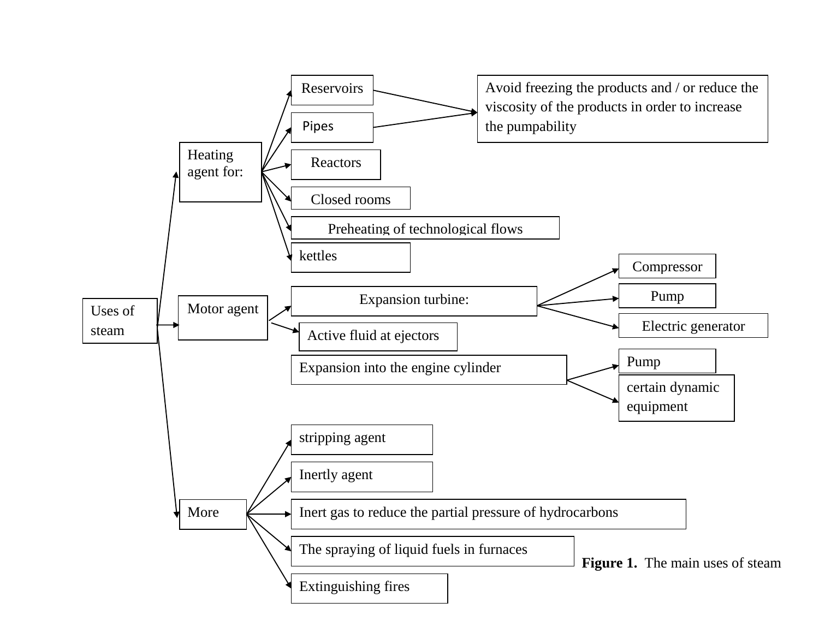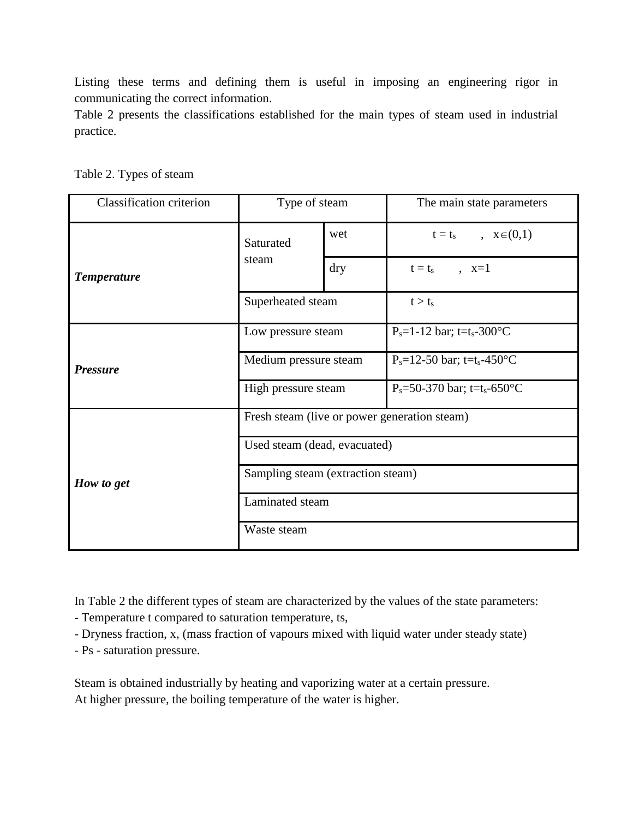Listing these terms and defining them is useful in imposing an engineering rigor in communicating the correct information.

Table 2 presents the classifications established for the main types of steam used in industrial practice.

| <b>Classification criterion</b> | Type of steam                                |     | The main state parameters                    |  |
|---------------------------------|----------------------------------------------|-----|----------------------------------------------|--|
|                                 | Saturated                                    | wet | $t = t_s$ , $x \in (0,1)$                    |  |
| <b>Temperature</b>              | steam                                        | dry | $t = t_s$<br>$, x=1$                         |  |
|                                 | Superheated steam                            |     | $t > t_s$                                    |  |
|                                 | Low pressure steam                           |     | $P_s = 1 - 12$ bar; t=t <sub>s</sub> -300°C  |  |
| <b>Pressure</b>                 | Medium pressure steam                        |     | $P_s = 12 - 50$ bar; t=t <sub>s</sub> -450°C |  |
|                                 | High pressure steam                          |     | $P_s = 50-370$ bar; t=t <sub>s</sub> -650°C  |  |
|                                 | Fresh steam (live or power generation steam) |     |                                              |  |
|                                 | Used steam (dead, evacuated)                 |     |                                              |  |
| How to get                      | Sampling steam (extraction steam)            |     |                                              |  |
|                                 | Laminated steam                              |     |                                              |  |
|                                 | Waste steam                                  |     |                                              |  |

Table 2. Types of steam

In Table 2 the different types of steam are characterized by the values of the state parameters:

- Temperature t compared to saturation temperature, ts,

- Dryness fraction, x, (mass fraction of vapours mixed with liquid water under steady state)

- Ps - saturation pressure.

Steam is obtained industrially by heating and vaporizing water at a certain pressure. At higher pressure, the boiling temperature of the water is higher.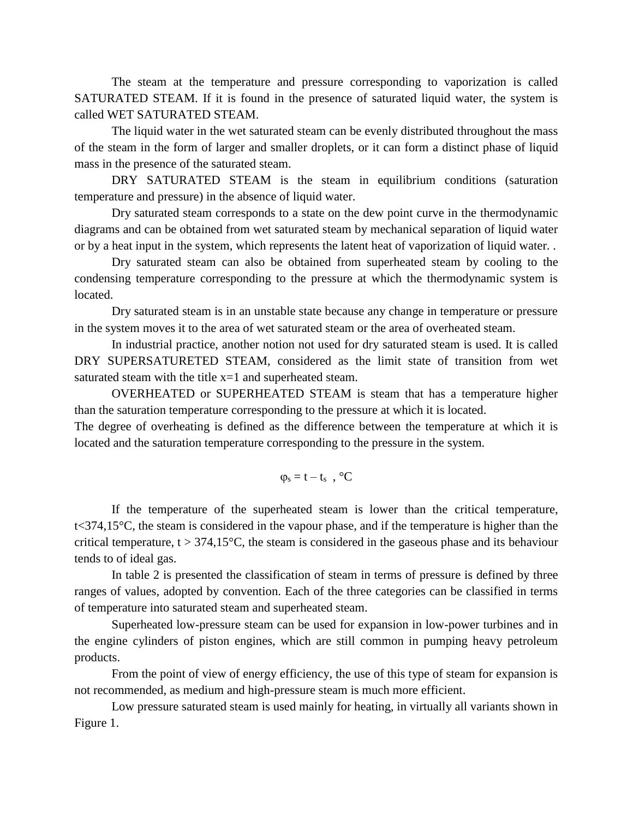The steam at the temperature and pressure corresponding to vaporization is called SATURATED STEAM. If it is found in the presence of saturated liquid water, the system is called WET SATURATED STEAM.

The liquid water in the wet saturated steam can be evenly distributed throughout the mass of the steam in the form of larger and smaller droplets, or it can form a distinct phase of liquid mass in the presence of the saturated steam.

DRY SATURATED STEAM is the steam in equilibrium conditions (saturation temperature and pressure) in the absence of liquid water.

Dry saturated steam corresponds to a state on the dew point curve in the thermodynamic diagrams and can be obtained from wet saturated steam by mechanical separation of liquid water or by a heat input in the system, which represents the latent heat of vaporization of liquid water. .

Dry saturated steam can also be obtained from superheated steam by cooling to the condensing temperature corresponding to the pressure at which the thermodynamic system is located.

Dry saturated steam is in an unstable state because any change in temperature or pressure in the system moves it to the area of wet saturated steam or the area of overheated steam.

In industrial practice, another notion not used for dry saturated steam is used. It is called DRY SUPERSATURETED STEAM, considered as the limit state of transition from wet saturated steam with the title  $x=1$  and superheated steam.

OVERHEATED or SUPERHEATED STEAM is steam that has a temperature higher than the saturation temperature corresponding to the pressure at which it is located.

The degree of overheating is defined as the difference between the temperature at which it is located and the saturation temperature corresponding to the pressure in the system.

$$
\phi_s = t - t_s \ , \ ^{\circ}C
$$

If the temperature of the superheated steam is lower than the critical temperature, t<374,15°C, the steam is considered in the vapour phase, and if the temperature is higher than the critical temperature,  $t > 374,15^{\circ}$ C, the steam is considered in the gaseous phase and its behaviour tends to of ideal gas.

In table 2 is presented the classification of steam in terms of pressure is defined by three ranges of values, adopted by convention. Each of the three categories can be classified in terms of temperature into saturated steam and superheated steam.

Superheated low-pressure steam can be used for expansion in low-power turbines and in the engine cylinders of piston engines, which are still common in pumping heavy petroleum products.

From the point of view of energy efficiency, the use of this type of steam for expansion is not recommended, as medium and high-pressure steam is much more efficient.

Low pressure saturated steam is used mainly for heating, in virtually all variants shown in Figure 1.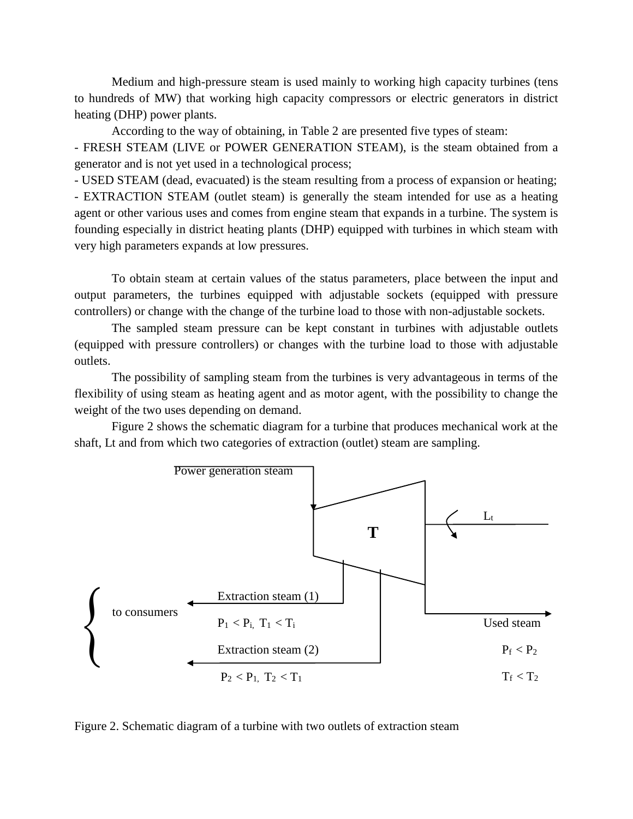Medium and high-pressure steam is used mainly to working high capacity turbines (tens to hundreds of MW) that working high capacity compressors or electric generators in district heating (DHP) power plants.

According to the way of obtaining, in Table 2 are presented five types of steam:

- FRESH STEAM (LIVE or POWER GENERATION STEAM), is the steam obtained from a generator and is not yet used in a technological process;

- USED STEAM (dead, evacuated) is the steam resulting from a process of expansion or heating;

- EXTRACTION STEAM (outlet steam) is generally the steam intended for use as a heating agent or other various uses and comes from engine steam that expands in a turbine. The system is founding especially in district heating plants (DHP) equipped with turbines in which steam with very high parameters expands at low pressures.

To obtain steam at certain values of the status parameters, place between the input and output parameters, the turbines equipped with adjustable sockets (equipped with pressure controllers) or change with the change of the turbine load to those with non-adjustable sockets.

The sampled steam pressure can be kept constant in turbines with adjustable outlets (equipped with pressure controllers) or changes with the turbine load to those with adjustable outlets.

The possibility of sampling steam from the turbines is very advantageous in terms of the flexibility of using steam as heating agent and as motor agent, with the possibility to change the weight of the two uses depending on demand.

Figure 2 shows the schematic diagram for a turbine that produces mechanical work at the shaft, Lt and from which two categories of extraction (outlet) steam are sampling.



Figure 2. Schematic diagram of a turbine with two outlets of extraction steam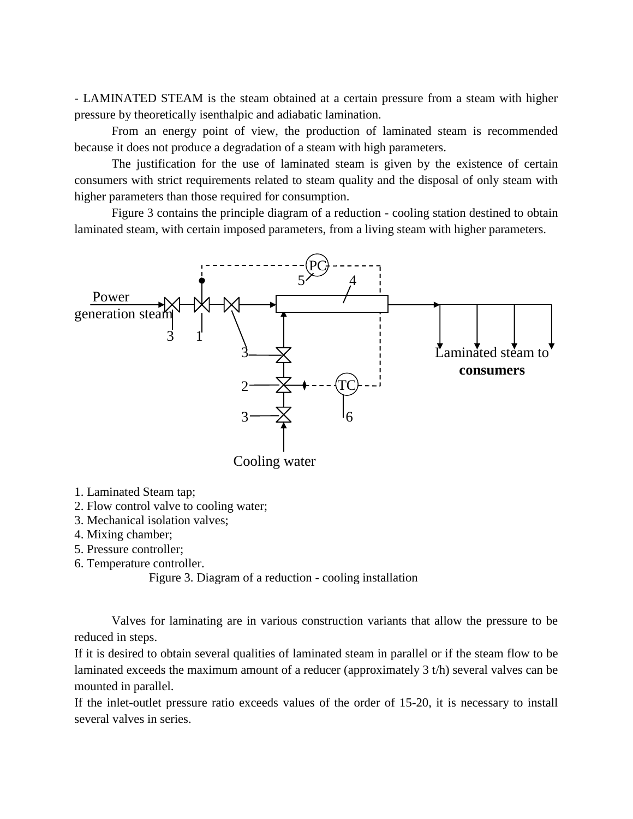- LAMINATED STEAM is the steam obtained at a certain pressure from a steam with higher pressure by theoretically isenthalpic and adiabatic lamination.

From an energy point of view, the production of laminated steam is recommended because it does not produce a degradation of a steam with high parameters.

The justification for the use of laminated steam is given by the existence of certain consumers with strict requirements related to steam quality and the disposal of only steam with higher parameters than those required for consumption.

Figure 3 contains the principle diagram of a reduction - cooling station destined to obtain laminated steam, with certain imposed parameters, from a living steam with higher parameters.



- 1. Laminated Steam tap;
- 2. Flow control valve to cooling water;
- 3. Mechanical isolation valves;
- 4. Mixing chamber;
- 5. Pressure controller;
- 6. Temperature controller.

```
Figure 3. Diagram of a reduction - cooling installation
```
Valves for laminating are in various construction variants that allow the pressure to be reduced in steps.

If it is desired to obtain several qualities of laminated steam in parallel or if the steam flow to be laminated exceeds the maximum amount of a reducer (approximately 3 t/h) several valves can be mounted in parallel.

If the inlet-outlet pressure ratio exceeds values of the order of 15-20, it is necessary to install several valves in series.